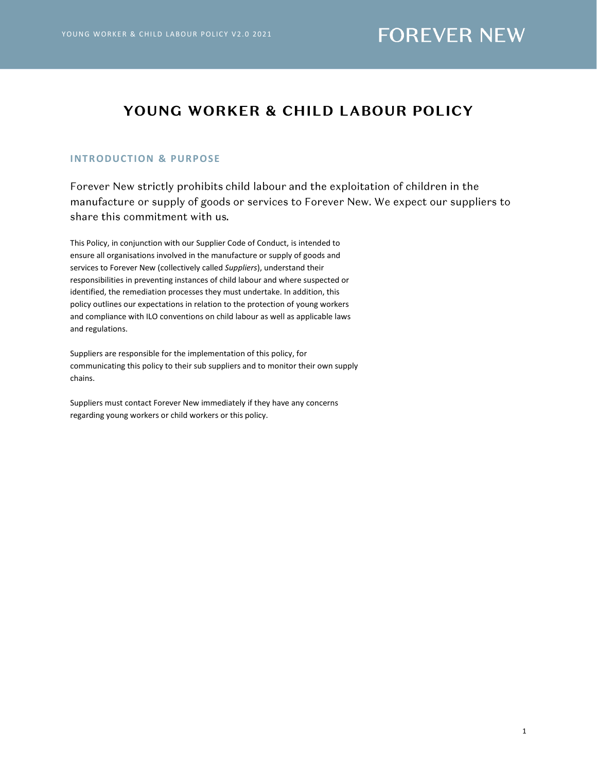### YOUNG WORKER & CHILD LABOUR POLICY

#### **INT RODUCT ION & PURPOSE**

Forever New strictly prohibits child labour and the exploitation of children in the manufacture or supply of goods or services to Forever New. We expect our suppliers to share this commitment with us.

This Policy, in conjunction with our Supplier Code of Conduct, is intended to ensure all organisations involved in the manufacture or supply of goods and services to Forever New (collectively called *Suppliers*), understand their responsibilities in preventing instances of child labour and where suspected or identified, the remediation processes they must undertake. In addition, this policy outlines our expectations in relation to the protection of young workers and compliance with ILO conventions on child labour as well as applicable laws and regulations.

Suppliers are responsible for the implementation of this policy, for communicating this policy to their sub suppliers and to monitor their own supply chains.

Suppliers must contact Forever New immediately if they have any concerns regarding young workers or child workers or this policy.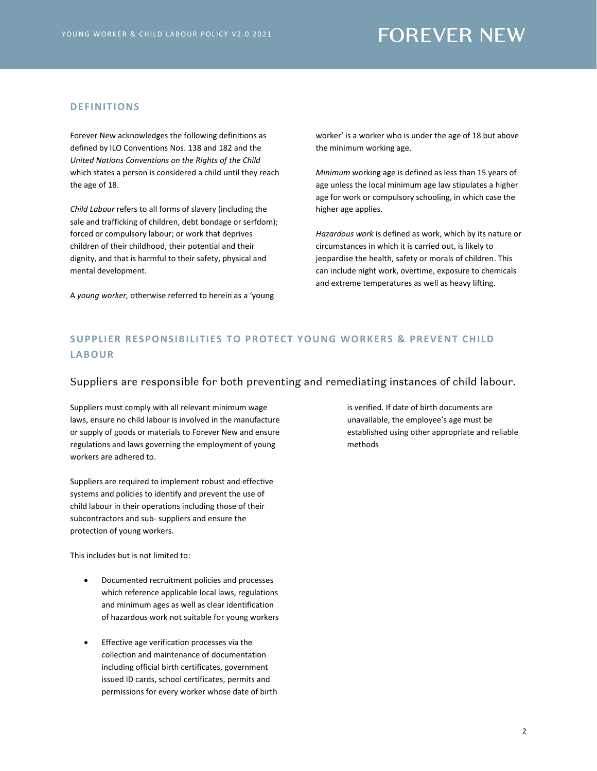### **FOREVER NEW**

#### **DEFINIT IONS**

Forever New acknowledges the following definitions as defined by ILO Conventions Nos. 138 and 182 and the *United Nations Conventions on the Rights of the Child*  which states a person is considered a child until they reach the age of 18.

*Child Labour* refers to all forms of slavery (including the sale and trafficking of children, debt bondage or serfdom); forced or compulsory labour; or work that deprives children of their childhood, their potential and their dignity, and that is harmful to their safety, physical and mental development.

A *young worker,* otherwise referred to herein as a 'young

worker' is a worker who is under the age of 18 but above the minimum working age.

*Minimum* working age is defined as less than 15 years of age unless the local minimum age law stipulates a higher age for work or compulsory schooling, in which case the higher age applies.

*Hazardous work* is defined as work, which by its nature or circumstances in which it is carried out, is likely to jeopardise the health, safety or morals of children. This can include night work, overtime, exposure to chemicals and extreme temperatures as well as heavy lifting.

### **SUPPLIER RESPONSIBILITIES TO PROTECT YOUNG WORKERS & PREVENT CHILD LABOUR**

#### Suppliers are responsible for both preventing and remediating instances of child labour.

Suppliers must comply with all relevant minimum wage laws, ensure no child labour is involved in the manufacture or supply of goods or materials to Forever New and ensure regulations and laws governing the employment of young workers are adhered to.

Suppliers are required to implement robust and effective systems and policies to identify and prevent the use of child labour in their operations including those of their subcontractors and sub- suppliers and ensure the protection of young workers.

This includes but is not limited to:

- Documented recruitment policies and processes which reference applicable local laws, regulations and minimum ages as well as clear identification of hazardous work not suitable for young workers
- Effective age verification processes via the collection and maintenance of documentation including official birth certificates, government issued ID cards, school certificates, permits and permissions for every worker whose date of birth

is verified. If date of birth documents are unavailable, the employee's age must be established using other appropriate and reliable methods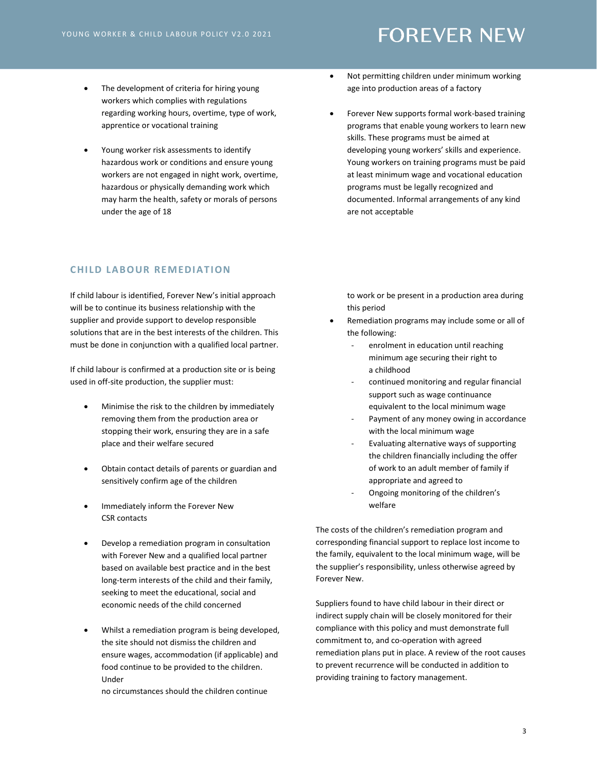#### • The development of criteria for hiring young workers which complies with regulations regarding working hours, overtime, type of work, apprentice or vocational training

• Young worker risk assessments to identify hazardous work or conditions and ensure young workers are not engaged in night work, overtime, hazardous or physically demanding work which may harm the health, safety or morals of persons under the age of 18

#### **CHILD LABOUR REMEDIATION**

If child labour is identified, Forever New's initial approach will be to continue its business relationship with the supplier and provide support to develop responsible solutions that are in the best interests of the children. This must be done in conjunction with a qualified local partner.

If child labour is confirmed at a production site or is being used in off-site production, the supplier must:

- Minimise the risk to the children by immediately removing them from the production area or stopping their work, ensuring they are in a safe place and their welfare secured
- Obtain contact details of parents or guardian and sensitively confirm age of the children
- Immediately inform the Forever New CSR contacts
- Develop a remediation program in consultation with Forever New and a qualified local partner based on available best practice and in the best long-term interests of the child and their family, seeking to meet the educational, social and economic needs of the child concerned
- Whilst a remediation program is being developed, the site should not dismiss the children and ensure wages, accommodation (if applicable) and food continue to be provided to the children. Under

no circumstances should the children continue

- Not permitting children under minimum working age into production areas of a factory
- Forever New supports formal work-based training programs that enable young workers to learn new skills. These programs must be aimed at developing young workers' skills and experience. Young workers on training programs must be paid at least minimum wage and vocational education programs must be legally recognized and documented. Informal arrangements of any kind are not acceptable

to work or be present in a production area during this period

- Remediation programs may include some or all of the following:
	- enrolment in education until reaching minimum age securing their right to a childhood
	- continued monitoring and regular financial support such as wage continuance equivalent to the local minimum wage
	- Payment of any money owing in accordance with the local minimum wage
	- Evaluating alternative ways of supporting the children financially including the offer of work to an adult member of family if appropriate and agreed to
	- Ongoing monitoring of the children's welfare

The costs of the children's remediation program and corresponding financial support to replace lost income to the family, equivalent to the local minimum wage, will be the supplier's responsibility, unless otherwise agreed by Forever New.

Suppliers found to have child labour in their direct or indirect supply chain will be closely monitored for their compliance with this policy and must demonstrate full commitment to, and co-operation with agreed remediation plans put in place. A review of the root causes to prevent recurrence will be conducted in addition to providing training to factory management.

## **FOREVER NEW**